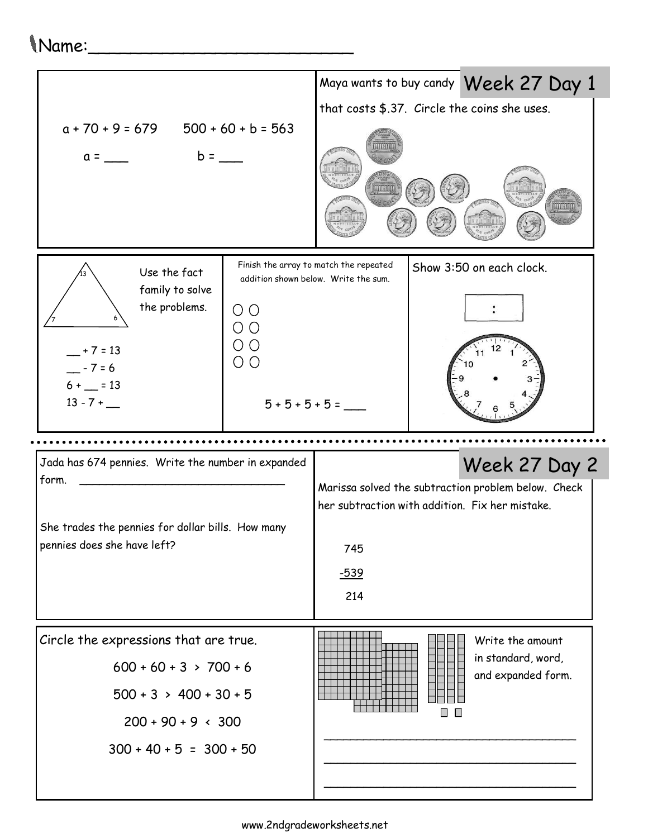## Name:\_\_\_\_\_\_\_\_\_\_\_\_\_\_\_\_\_\_\_\_\_\_\_\_\_

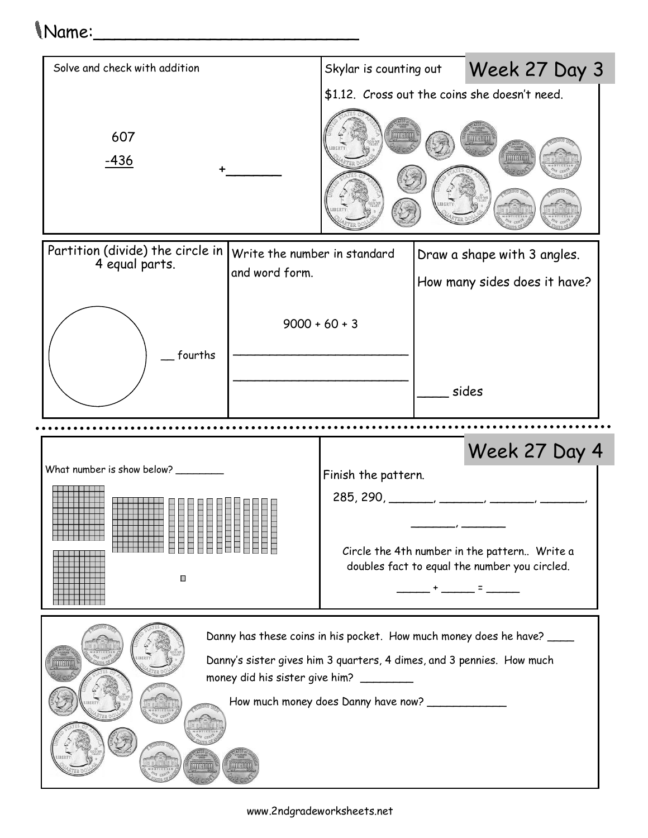## Name:\_\_\_\_\_\_\_\_\_\_\_\_\_\_\_\_\_\_\_\_\_\_\_\_\_